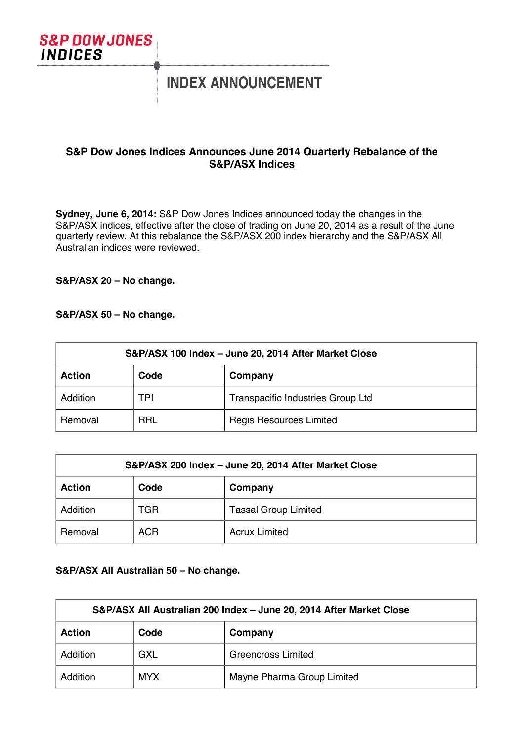

# **INDEX ANNOUNCEMENT**

## **S&P Dow Jones Indices Announces June 2014 Quarterly Rebalance of the S&P/ASX Indices**

**Sydney, June 6, 2014:** S&P Dow Jones Indices announced today the changes in the S&P/ASX indices, effective after the close of trading on June 20, 2014 as a result of the June quarterly review. At this rebalance the S&P/ASX 200 index hierarchy and the S&P/ASX All Australian indices were reviewed.

**S&P/ASX 20 – No change.**

#### **S&P/ASX 50 – No change.**

| S&P/ASX 100 Index - June 20, 2014 After Market Close |            |                                   |  |  |
|------------------------------------------------------|------------|-----------------------------------|--|--|
| <b>Action</b>                                        | Code       | Company                           |  |  |
| Addition                                             | TPI        | Transpacific Industries Group Ltd |  |  |
| Removal                                              | <b>RRL</b> | <b>Regis Resources Limited</b>    |  |  |

| S&P/ASX 200 Index - June 20, 2014 After Market Close |            |                             |  |  |
|------------------------------------------------------|------------|-----------------------------|--|--|
| <b>Action</b>                                        | Code       | Company                     |  |  |
| Addition                                             | TGR        | <b>Tassal Group Limited</b> |  |  |
| Removal                                              | <b>ACR</b> | <b>Acrux Limited</b>        |  |  |

### **S&P/ASX All Australian 50 – No change.**

| S&P/ASX All Australian 200 Index - June 20, 2014 After Market Close |            |                            |  |  |
|---------------------------------------------------------------------|------------|----------------------------|--|--|
| <b>Action</b>                                                       | Code       | Company                    |  |  |
| Addition                                                            | <b>GXL</b> | <b>Greencross Limited</b>  |  |  |
| Addition                                                            | <b>MYX</b> | Mayne Pharma Group Limited |  |  |